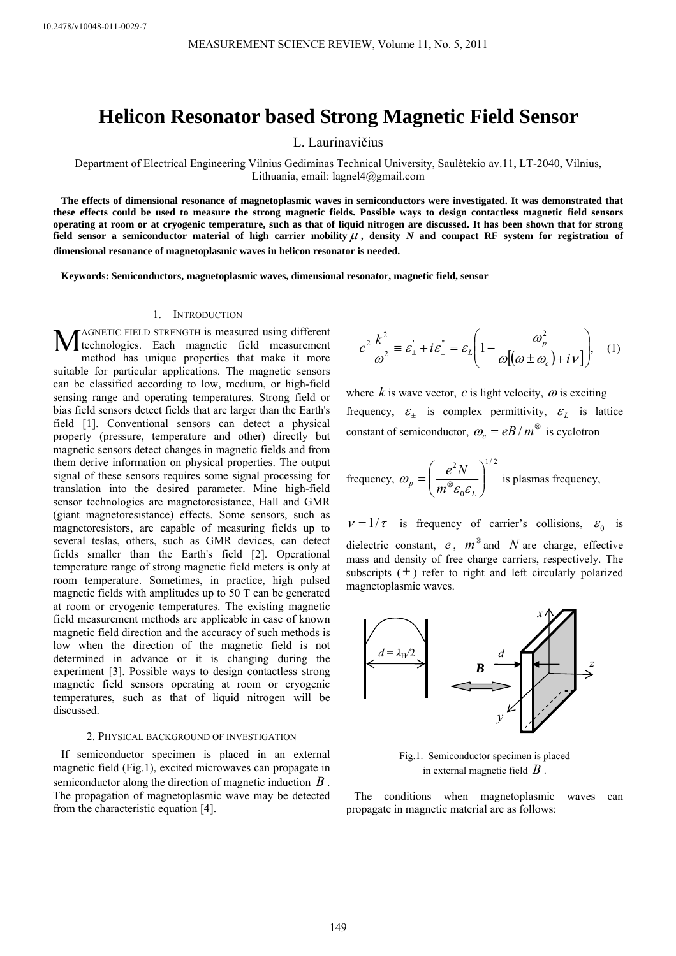# **Helicon Resonator based Strong Magnetic Field Sensor**

L. Laurinavičius

Department of Electrical Engineering Vilnius Gediminas Technical University, Saulėtekio av.11, LT-2040, Vilnius, Lithuania, email: lagnel4@gmail.com

**The effects of dimensional resonance of magnetoplasmic waves in semiconductors were investigated. It was demonstrated that these effects could be used to measure the strong magnetic fields. Possible ways to design contactless magnetic field sensors operating at room or at cryogenic temperature, such as that of liquid nitrogen are discussed. It has been shown that for strong field sensor a semiconductor material of high carrier mobility**  $\mu$ **, density N and compact RF system for registration of dimensional resonance of magnetoplasmic waves in helicon resonator is needed.** 

**Keywords: Semiconductors, magnetoplasmic waves, dimensional resonator, magnetic field, sensor** 

#### 1. INTRODUCTION

AGNETIC FIELD STRENGTH is measured using different MAGNETIC FIELD STRENGTH is measured using different<br>technologies. Each magnetic field measurement<br>mathed hea unique proporties that make it more method has unique properties that make it more suitable for particular applications. The magnetic sensors can be classified according to low, medium, or high-field sensing range and operating temperatures. Strong field or bias field sensors detect fields that are larger than the Earth's field [1]. Conventional sensors can detect a physical property (pressure, temperature and other) directly but magnetic sensors detect changes in magnetic fields and from them derive information on physical properties. The output signal of these sensors requires some signal processing for translation into the desired parameter. Mine high-field sensor technologies are magnetoresistance, Hall and GMR (giant magnetoresistance) effects. Some sensors, such as magnetoresistors, are capable of measuring fields up to several teslas, others, such as GMR devices, can detect fields smaller than the Earth's field [2]. Operational temperature range of strong magnetic field meters is only at room temperature. Sometimes, in practice, high pulsed magnetic fields with amplitudes up to 50 T can be generated at room or cryogenic temperatures. The existing magnetic field measurement methods are applicable in case of known magnetic field direction and the accuracy of such methods is low when the direction of the magnetic field is not determined in advance or it is changing during the experiment [3]. Possible ways to design contactless strong magnetic field sensors operating at room or cryogenic temperatures, such as that of liquid nitrogen will be discussed.

#### 2. PHYSICAL BACKGROUND OF INVESTIGATION

If semiconductor specimen is placed in an external magnetic field (Fig.1), excited microwaves can propagate in semiconductor along the direction of magnetic induction *B* . The propagation of magnetoplasmic wave may be detected from the characteristic equation [4].

$$
c^2 \frac{k^2}{\omega^2} \equiv \varepsilon_{\pm} + i\varepsilon_{\pm} = \varepsilon_L \left( 1 - \frac{\omega_p^2}{\omega[(\omega \pm \omega_c) + i\nu]} \right), \quad (1)
$$

where  $k$  is wave vector,  $c$  is light velocity,  $\omega$  is exciting frequency,  $\varepsilon_{\pm}$  is complex permittivity,  $\varepsilon_{L}$  is lattice constant of semiconductor,  $\omega_c = eB/m^{\otimes}$  is cyclotron

frequency, 
$$
\omega_p = \left(\frac{e^2 N}{m^\infty \varepsilon_0 \varepsilon_L}\right)^{1/2}
$$
 is plasmas frequency,

 $v = 1/\tau$  is frequency of carrier's collisions,  $\varepsilon_0$  is dielectric constant,  $e$ ,  $m^{\otimes}$  and *N* are charge, effective mass and density of free charge carriers, respectively. The subscripts  $(\pm)$  refer to right and left circularly polarized magnetoplasmic waves.



Fig.1. Semiconductor specimen is placed in external magnetic field *B* .

The conditions when magnetoplasmic waves can propagate in magnetic material are as follows: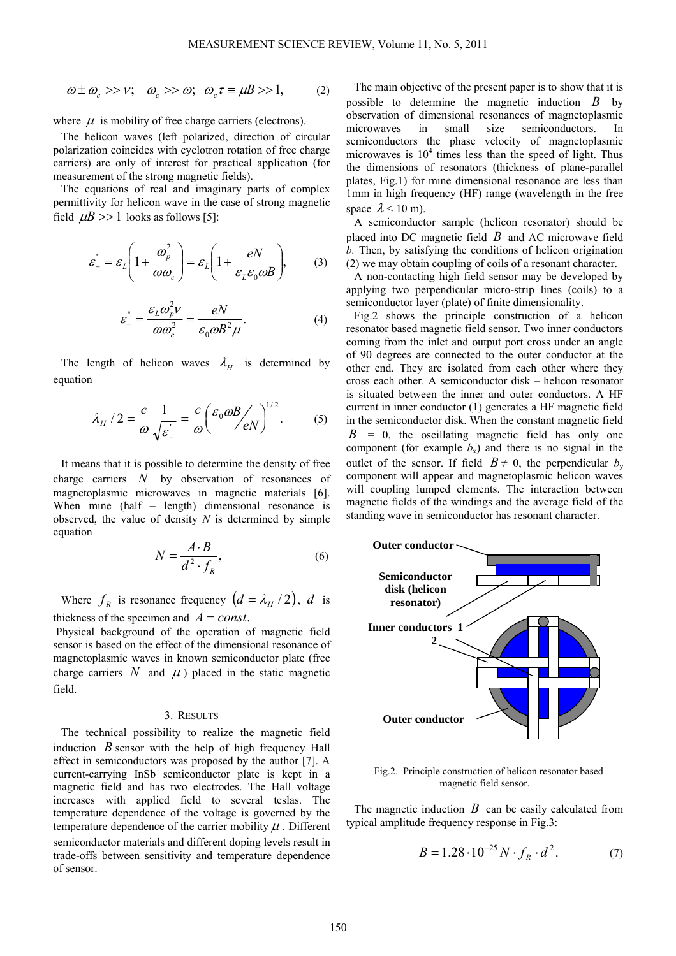$$
\omega \pm \omega_c >> v; \quad \omega_c >> \omega; \quad \omega_c \tau \equiv \mu B >> 1, \tag{2}
$$

where  $\mu$  is mobility of free charge carriers (electrons).

The helicon waves (left polarized, direction of circular polarization coincides with cyclotron rotation of free charge carriers) are only of interest for practical application (for measurement of the strong magnetic fields).

The equations of real and imaginary parts of complex permittivity for helicon wave in the case of strong magnetic field  $\mu$ *B* >> 1 looks as follows [5]:

$$
\varepsilon_{-}^{'} = \varepsilon_{L} \left( 1 + \frac{\omega_{p}^{2}}{\omega \omega_{c}} \right) = \varepsilon_{L} \left( 1 + \frac{eN}{\varepsilon_{L} \varepsilon_{0} \omega B} \right), \qquad (3)
$$

$$
\varepsilon_{-}^{''} = \frac{\varepsilon_{L}\omega_{p}^{2}v}{\omega\omega_{c}^{2}} = \frac{eN}{\varepsilon_{0}\omega B^{2}\mu}.
$$
 (4)

The length of helicon waves  $\lambda$ <sup>*H*</sup> is determined by equation

$$
\lambda_H / 2 = \frac{c}{\omega} \frac{1}{\sqrt{\varepsilon}} = \frac{c}{\omega} \left( \frac{\varepsilon_0 \omega B}{eN} \right)^{1/2}.
$$
 (5)

It means that it is possible to determine the density of free charge carriers *N* by observation of resonances of magnetoplasmic microwaves in magnetic materials [6]. When mine (half – length) dimensional resonance is observed, the value of density *N* is determined by simple equation

$$
N = \frac{A \cdot B}{d^2 \cdot f_R},\tag{6}
$$

Where  $f_R$  is resonance frequency  $(d = \lambda_H / 2)$ , *d* is thickness of the specimen and  $A = const.$ 

 Physical background of the operation of magnetic field sensor is based on the effect of the dimensional resonance of magnetoplasmic waves in known semiconductor plate (free charge carriers  $N$  and  $\mu$ ) placed in the static magnetic field.

## 3. RESULTS

The technical possibility to realize the magnetic field induction *B* sensor with the help of high frequency Hall effect in semiconductors was proposed by the author [7]. A current-carrying InSb semiconductor plate is kept in a magnetic field and has two electrodes. The Hall voltage increases with applied field to several teslas. The temperature dependence of the voltage is governed by the temperature dependence of the carrier mobility  $\mu$ . Different semiconductor materials and different doping levels result in trade-offs between sensitivity and temperature dependence of sensor.

The main objective of the present paper is to show that it is possible to determine the magnetic induction *B* by observation of dimensional resonances of magnetoplasmic microwaves in small size semiconductors. In semiconductors the phase velocity of magnetoplasmic microwaves is  $10<sup>4</sup>$  times less than the speed of light. Thus the dimensions of resonators (thickness of plane-parallel plates, Fig.1) for mine dimensional resonance are less than 1mm in high frequency (HF) range (wavelength in the free space  $\lambda$  < 10 m).

A semiconductor sample (helicon resonator) should be placed into DC magnetic field *B* and AC microwave field *b.* Then, by satisfying the conditions of helicon origination (2) we may obtain coupling of coils of a resonant character.

A non-contacting high field sensor may be developed by applying two perpendicular micro-strip lines (coils) to a semiconductor layer (plate) of finite dimensionality.

Fig.2 shows the principle construction of a helicon resonator based magnetic field sensor. Two inner conductors coming from the inlet and output port cross under an angle of 90 degrees are connected to the outer conductor at the other end. They are isolated from each other where they cross each other. A semiconductor disk – helicon resonator is situated between the inner and outer conductors. A HF current in inner conductor (1) generates a HF magnetic field in the semiconductor disk. When the constant magnetic field  $B = 0$ , the oscillating magnetic field has only one component (for example  $b<sub>x</sub>$ ) and there is no signal in the outlet of the sensor. If field  $B \neq 0$ , the perpendicular  $b_y$ component will appear and magnetoplasmic helicon waves will coupling lumped elements. The interaction between magnetic fields of the windings and the average field of the standing wave in semiconductor has resonant character.



Fig.2. Principle construction of helicon resonator based magnetic field sensor.

The magnetic induction *B* can be easily calculated from typical amplitude frequency response in Fig.3:

$$
B = 1.28 \cdot 10^{-25} N \cdot f_R \cdot d^2. \tag{7}
$$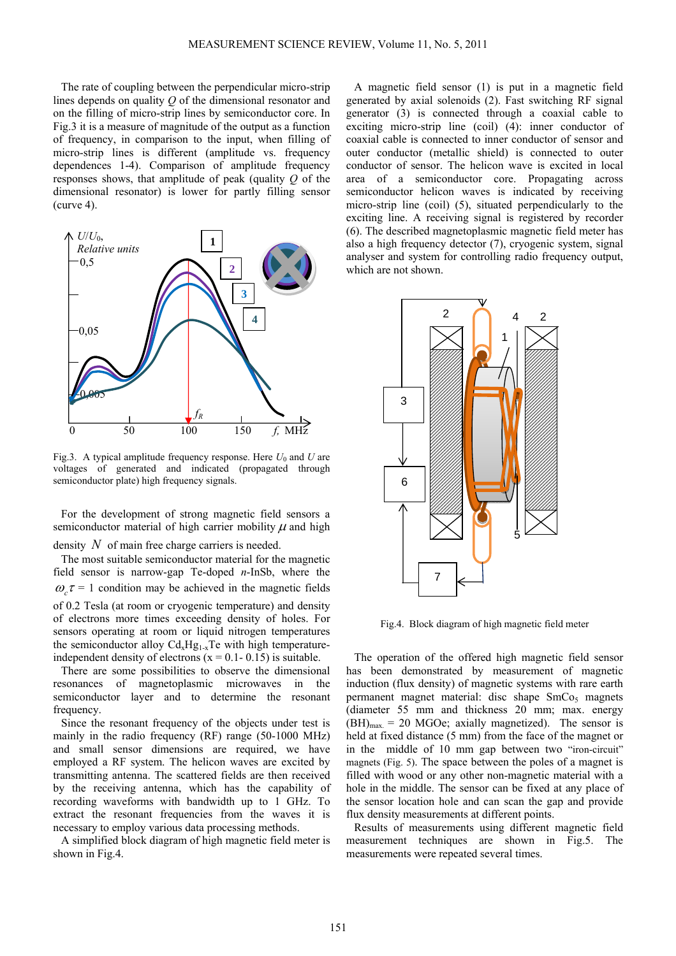The rate of coupling between the perpendicular micro-strip lines depends on quality *Q* of the dimensional resonator and on the filling of micro-strip lines by semiconductor core. In Fig.3 it is a measure of magnitude of the output as a function of frequency, in comparison to the input, when filling of micro-strip lines is different (amplitude vs. frequency dependences 1-4). Comparison of amplitude frequency responses shows, that amplitude of peak (quality *Q* of the dimensional resonator) is lower for partly filling sensor (curve 4).



Fig.3. A typical amplitude frequency response. Here  $U_0$  and  $U$  are voltages of generated and indicated (propagated through semiconductor plate) high frequency signals.

For the development of strong magnetic field sensors a semiconductor material of high carrier mobility  $\mu$  and high

## density *N* of main free charge carriers is needed.

The most suitable semiconductor material for the magnetic field sensor is narrow-gap Te-doped *n*-InSb, where the  $\omega_c \tau = 1$  condition may be achieved in the magnetic fields of 0.2 Tesla (at room or cryogenic temperature) and density of electrons more times exceeding density of holes. For sensors operating at room or liquid nitrogen temperatures the semiconductor alloy  $Cd<sub>x</sub>Hg<sub>1-x</sub>Te$  with high temperatureindependent density of electrons  $(x = 0.1 - 0.15)$  is suitable.

There are some possibilities to observe the dimensional resonances of magnetoplasmic microwaves in the semiconductor layer and to determine the resonant frequency.

Since the resonant frequency of the objects under test is mainly in the radio frequency (RF) range (50-1000 MHz) and small sensor dimensions are required, we have employed a RF system. The helicon waves are excited by transmitting antenna. The scattered fields are then received by the receiving antenna, which has the capability of recording waveforms with bandwidth up to 1 GHz. To extract the resonant frequencies from the waves it is necessary to employ various data processing methods.

A simplified block diagram of high magnetic field meter is shown in Fig.4.

A magnetic field sensor (1) is put in a magnetic field generated by axial solenoids (2). Fast switching RF signal generator (3) is connected through a coaxial cable to exciting micro-strip line (coil) (4): inner conductor of coaxial cable is connected to inner conductor of sensor and outer conductor (metallic shield) is connected to outer conductor of sensor. The helicon wave is excited in local area of a semiconductor core. Propagating across semiconductor helicon waves is indicated by receiving micro-strip line (coil) (5), situated perpendicularly to the exciting line. A receiving signal is registered by recorder (6). The described magnetoplasmic magnetic field meter has also a high frequency detector (7), cryogenic system, signal analyser and system for controlling radio frequency output, which are not shown.



Fig.4. Block diagram of high magnetic field meter

The operation of the offered high magnetic field sensor has been demonstrated by measurement of magnetic induction (flux density) of magnetic systems with rare earth permanent magnet material: disc shape  $SmCo<sub>5</sub>$  magnets (diameter 55 mm and thickness 20 mm; max. energy  $(BH)_{\text{max}} = 20$  MGOe; axially magnetized). The sensor is held at fixed distance (5 mm) from the face of the magnet or in the middle of 10 mm gap between two "iron-circuit" magnets (Fig. 5). The space between the poles of a magnet is filled with wood or any other non-magnetic material with a hole in the middle. The sensor can be fixed at any place of the sensor location hole and can scan the gap and provide flux density measurements at different points.

Results of measurements using different magnetic field measurement techniques are shown in Fig.5. The measurements were repeated several times.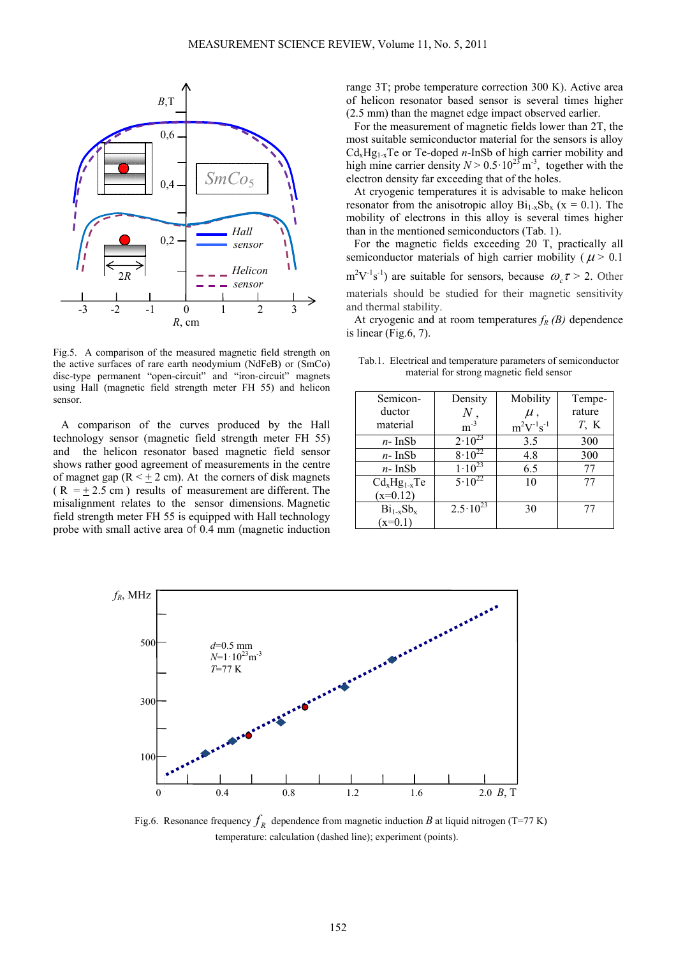

Fig.5. A comparison of the measured magnetic field strength on the active surfaces of rare earth neodymium (NdFeB) or (SmCo) disc-type permanent "open-circuit" and "iron-circuit" magnets using Hall (magnetic field strength meter FH 55) and helicon sensor.

A comparison of the curves produced by the Hall technology sensor (magnetic field strength meter FH 55) and the helicon resonator based magnetic field sensor shows rather good agreement of measurements in the centre of magnet gap ( $R < \pm 2$  cm). At the corners of disk magnets  $(R = \pm 2.5 \text{ cm})$  results of measurement are different. The misalignment relates to the sensor dimensions. Magnetic field strength meter FH 55 is equipped with Hall technology probe with small active area of 0.4 mm (magnetic induction range 3T; probe temperature correction 300 K). Active area of helicon resonator based sensor is several times higher (2.5 mm) than the magnet edge impact observed earlier.

For the measurement of magnetic fields lower than 2T, the most suitable semiconductor material for the sensors is alloy  $Cd<sub>x</sub>Hg<sub>1-x</sub>Te$  or Te-doped *n*-InSb of high carrier mobility and high mine carrier density  $N > 0.5 \cdot 10^{23}$  m<sup>-3</sup>, together with the electron density far exceeding that of the holes.

At cryogenic temperatures it is advisable to make helicon resonator from the anisotropic alloy  $Bi_{1-x}Sb_x$  (x = 0.1). The mobility of electrons in this alloy is several times higher than in the mentioned semiconductors (Tab. 1).

For the magnetic fields exceeding 20 T, practically all semiconductor materials of high carrier mobility ( $\mu$  > 0.1

 $m^2V^{-1}s^{-1}$ ) are suitable for sensors, because  $\omega_c \tau > 2$ . Other materials should be studied for their magnetic sensitivity and thermal stability.

At cryogenic and at room temperatures  $f_R(B)$  dependence is linear (Fig.6, 7).

Tab.1. Electrical and temperature parameters of semiconductor material for strong magnetic field sensor

| Semicon-       | Density             | Mobility          | Tempe-  |
|----------------|---------------------|-------------------|---------|
| ductor         |                     | $\mu$ ,           | rature  |
| material       | $m^{-3}$            | $m^2V^{-1}s^{-1}$ | $T$ , K |
| $n-$ InSb      | $2 \cdot 10^{23}$   | 3.5               | 300     |
| $n-$ InSb      | $8 \cdot 10^{22}$   | 4.8               | 300     |
| $n-$ InSb      | $1 \cdot 10^{23}$   | 6.5               | 77      |
| $CdxHg1-xTe$   | $5.10^{22}$         | 10                | 77      |
| $(x=0.12)$     |                     |                   |         |
| $Bi_{1-x}Sb_x$ | $2.5 \cdot 10^{23}$ | 30                | 77      |
| $(x=0.1)$      |                     |                   |         |



Fig.6. Resonance frequency  $f_R$  dependence from magnetic induction *B* at liquid nitrogen (T=77 K) temperature: calculation (dashed line); experiment (points).